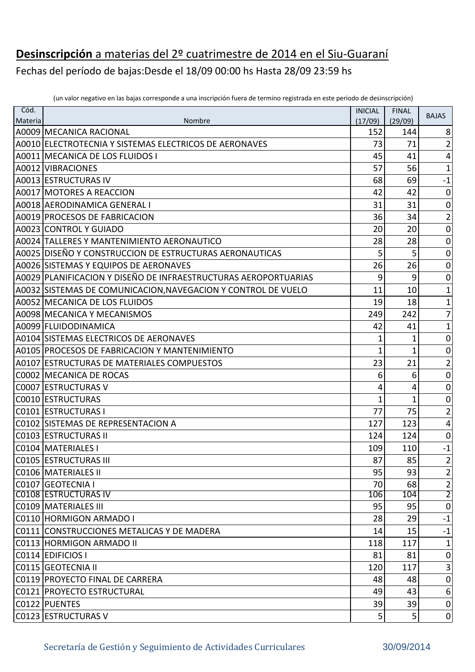## **Desinscripción** a materias del 2º cuatrimestre de 2014 en el Siu-Guaraní

Fechas del período de bajas:Desde el 18/09 00:00 hs Hasta 28/09 23:59 hs

| Cód.    |                                                                 | <b>INICIAL</b> | <b>FINAL</b>   |                         |
|---------|-----------------------------------------------------------------|----------------|----------------|-------------------------|
| Materia | Nombre                                                          | (17/09)        | (29/09)        | <b>BAJAS</b>            |
|         | A0009 MECANICA RACIONAL                                         | 152            | 144            | 8                       |
|         | A0010 ELECTROTECNIA Y SISTEMAS ELECTRICOS DE AERONAVES          | 73             | 71             | $\overline{2}$          |
|         | A0011 MECANICA DE LOS FLUIDOS I                                 | 45             | 41             | $\sqrt{4}$              |
|         | A0012 VIBRACIONES                                               | 57             | 56             | $\mathbf{1}$            |
|         | A0013 ESTRUCTURAS IV                                            | 68             | 69             | $\textbf{-1}$           |
|         | A0017 MOTORES A REACCION                                        | 42             | 42             | $\pmb{0}$               |
|         | A0018 AERODINAMICA GENERAL I                                    | 31             | 31             | $\boldsymbol{0}$        |
|         | A0019 PROCESOS DE FABRICACION                                   | 36             | 34             | $\overline{2}$          |
|         | A0023 CONTROL Y GUIADO                                          | 20             | 20             | $\boldsymbol{0}$        |
|         | A0024 TALLERES Y MANTENIMIENTO AERONAUTICO                      | 28             | 28             | $\boldsymbol{0}$        |
|         | A0025 DISEÑO Y CONSTRUCCION DE ESTRUCTURAS AERONAUTICAS         | 5              | 5              | $\boldsymbol{0}$        |
|         | A0026 SISTEMAS Y EQUIPOS DE AERONAVES                           | 26             | 26             | $\pmb{0}$               |
|         | A0029 PLANIFICACION Y DISEÑO DE INFRAESTRUCTURAS AEROPORTUARIAS | 9              | 9              | $\pmb{0}$               |
|         | A0032 SISTEMAS DE COMUNICACION, NAVEGACION Y CONTROL DE VUELO   | 11             | 10             | $\mathbf{1}$            |
|         | A0052 MECANICA DE LOS FLUIDOS                                   | 19             | 18             | $\mathbf{1}$            |
|         | A0098 MECANICA Y MECANISMOS                                     | 249            | 242            | $\overline{7}$          |
|         | A0099 FLUIDODINAMICA                                            | 42             | 41             | $\mathbf{1}$            |
|         | A0104 SISTEMAS ELECTRICOS DE AERONAVES                          | 1              | 1              | $\boldsymbol{0}$        |
|         | A0105 PROCESOS DE FABRICACION Y MANTENIMIENTO                   | 1              | $\mathbf{1}$   | $\pmb{0}$               |
|         | A0107 ESTRUCTURAS DE MATERIALES COMPUESTOS                      | 23             | 21             | $\overline{2}$          |
|         | C0002 MECANICA DE ROCAS                                         | 6              | 6              | $\pmb{0}$               |
|         | C0007 ESTRUCTURAS V                                             | 4              | 4              | $\boldsymbol{0}$        |
|         | C0010 ESTRUCTURAS                                               | $\overline{1}$ | $\mathbf{1}$   | $\pmb{0}$               |
|         | C0101 ESTRUCTURAS I                                             | 77             | 75             | $\overline{2}$          |
|         | C0102 SISTEMAS DE REPRESENTACION A                              | 127            | 123            | $\pmb{4}$               |
|         | C0103 ESTRUCTURAS II                                            | 124            | 124            | $\boldsymbol{0}$        |
|         | C0104 MATERIALES I                                              | 109            | 110            | $-1$                    |
|         | C0105 ESTRUCTURAS III                                           | 87             | 85             | $\overline{\mathbf{c}}$ |
|         | <b>C0106 MATERIALES II</b>                                      | 95             | 93             | $\overline{\mathbf{c}}$ |
|         | C0107 GEOTECNIA I                                               | 70             | 68             | $rac{2}{2}$             |
|         | <b>C0108 ESTRUCTURAS IV</b>                                     | 106            | 104            |                         |
|         | C0109 MATERIALES III                                            | 95             | 95             | $\overline{0}$          |
|         | C0110 HORMIGON ARMADO I                                         | 28             | 29             | $-1$                    |
|         | C0111 CONSTRUCCIONES METALICAS Y DE MADERA                      | 14             | 15             | $-1$                    |
|         | C0113 HORMIGON ARMADO II                                        | 118            | 117            | $\mathbf{1}$            |
|         | C0114 EDIFICIOS I                                               | 81             | 81             | $\overline{0}$          |
|         | C0115 GEOTECNIA II                                              | 120            | 117            | $\vert 3 \vert$         |
|         | C0119 PROYECTO FINAL DE CARRERA                                 | 48             | 48             | $\boldsymbol{0}$        |
|         | C0121 PROYECTO ESTRUCTURAL                                      | 49             | 43             | 6                       |
|         | C0122 PUENTES                                                   | 39             | 39             | $\overline{0}$          |
|         | C0123 ESTRUCTURAS V                                             | 5              | 5 <sup>1</sup> | 0                       |

(un valor negativo en las bajas corresponde a una inscripción fuera de termino registrada en este periodo de desinscripción)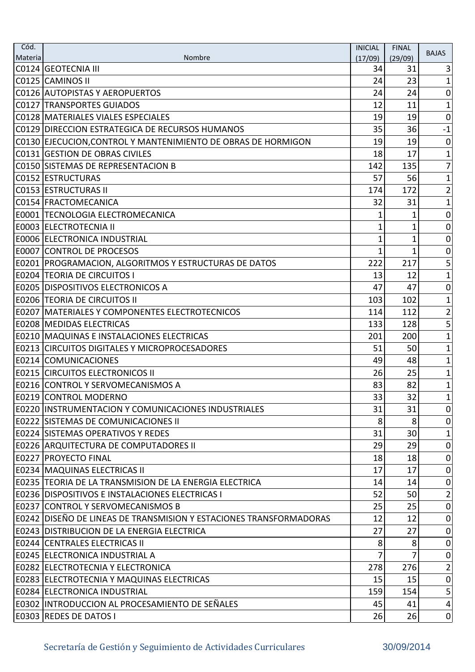| Cód.<br>Materia | Nombre                                                             | <b>INICIAL</b> | <b>FINAL</b>   | <b>BAJAS</b>     |
|-----------------|--------------------------------------------------------------------|----------------|----------------|------------------|
|                 | C0124 GEOTECNIA III                                                | (17/09)<br>34  | (29/09)<br>31  | 3                |
|                 | C0125 CAMINOS II                                                   | 24             | 23             | 1                |
|                 | C0126 AUTOPISTAS Y AEROPUERTOS                                     | 24             | 24             | $\mathbf 0$      |
|                 | <b>C0127 TRANSPORTES GUIADOS</b>                                   | 12             | 11             | 1                |
|                 | C0128 MATERIALES VIALES ESPECIALES                                 | 19             | 19             | $\mathbf 0$      |
|                 | C0129 DIRECCION ESTRATEGICA DE RECURSOS HUMANOS                    | 35             | 36             | $-1$             |
|                 | C0130 EJECUCION, CONTROL Y MANTENIMIENTO DE OBRAS DE HORMIGON      | 19             | 19             | $\boldsymbol{0}$ |
|                 | C0131 GESTION DE OBRAS CIVILES                                     | 18             | 17             | $\mathbf{1}$     |
|                 | C0150 SISTEMAS DE REPRESENTACION B                                 | 142            | 135            | 7                |
|                 | C0152 ESTRUCTURAS                                                  | 57             | 56             | 1                |
|                 | <b>C0153 ESTRUCTURAS II</b>                                        | 174            | 172            | $\overline{2}$   |
|                 | C0154 FRACTOMECANICA                                               | 32             | 31             | 1                |
|                 | E0001 TECNOLOGIA ELECTROMECANICA                                   | 1              | 1              | $\boldsymbol{0}$ |
|                 | E0003 ELECTROTECNIA II                                             | 1              | 1              | $\boldsymbol{0}$ |
|                 | E0006 ELECTRONICA INDUSTRIAL                                       | 1              | $\mathbf 1$    | $\mathbf 0$      |
|                 | <b>E0007 CONTROL DE PROCESOS</b>                                   | 1              | 1              | $\boldsymbol{0}$ |
|                 | E0201   PROGRAMACION, ALGORITMOS Y ESTRUCTURAS DE DATOS            | 222            | 217            | 5                |
|                 | <b>E0204 TEORIA DE CIRCUITOS I</b>                                 | 13             | 12             | $\mathbf{1}$     |
|                 | <b>E0205 DISPOSITIVOS ELECTRONICOS A</b>                           | 47             | 47             | $\mathbf 0$      |
|                 | <b>E0206 TEORIA DE CIRCUITOS II</b>                                | 103            | 102            | 1                |
|                 | <b>E0207   MATERIALES Y COMPONENTES ELECTROTECNICOS</b>            | 114            | 112            | $\overline{2}$   |
|                 | <b>E0208 MEDIDAS ELECTRICAS</b>                                    | 133            | 128            | 5                |
|                 | E0210   MAQUINAS E INSTALACIONES ELECTRICAS                        | 201            | 200            | 1                |
|                 | <b>E0213 CIRCUITOS DIGITALES Y MICROPROCESADORES</b>               | 51             | 50             | $\mathbf{1}$     |
|                 | E0214 COMUNICACIONES                                               | 49             | 48             | $\mathbf{1}$     |
|                 | <b>E0215 CIRCUITOS ELECTRONICOS II</b>                             | 26             | 25             | 1                |
|                 | E0216 CONTROL Y SERVOMECANISMOS A                                  | 83             | 82             | 1                |
|                 | <b>E0219 CONTROL MODERNO</b>                                       | 33             | 32             | $1\vert$         |
|                 | <b>E0220 IINSTRUMENTACION Y COMUNICACIONES INDUSTRIALES</b>        | 31             | 31             | 0                |
|                 | <b>E0222 ISISTEMAS DE COMUNICACIONES II</b>                        | 8              | 8              | 0                |
|                 | <b>E0224 SISTEMAS OPERATIVOS Y REDES</b>                           | 31             | 30             | $\mathbf 1$      |
|                 | <b>E0226 ARQUITECTURA DE COMPUTADORES II</b>                       | 29             | 29             | $\overline{0}$   |
|                 | <b>E0227 PROYECTO FINAL</b>                                        | 18             | 18             | $\boldsymbol{0}$ |
|                 | <b>E0234 MAQUINAS ELECTRICAS II</b>                                | 17             | 17             | $\mathbf 0$      |
|                 | E0235 TEORIA DE LA TRANSMISION DE LA ENERGIA ELECTRICA             | 14             | 14             | $\boldsymbol{0}$ |
|                 | <b>E0236 DISPOSITIVOS E INSTALACIONES ELECTRICAS I</b>             | 52             | 50             | $\overline{2}$   |
|                 | <b>E0237 CONTROL Y SERVOMECANISMOS B</b>                           | 25             | 25             | $\overline{0}$   |
|                 | E0242 DISEÑO DE LINEAS DE TRANSMISION Y ESTACIONES TRANSFORMADORAS | 12             | 12             | $\boldsymbol{0}$ |
|                 | <b>E0243 DISTRIBUCION DE LA ENERGIA ELECTRICA</b>                  | 27             | 27             | $\overline{0}$   |
|                 | <b>E0244 CENTRALES ELECTRICAS II</b>                               | 8              | 8              | $\overline{0}$   |
|                 | <b>E0245 ELECTRONICA INDUSTRIAL A</b>                              | 7              | $\overline{7}$ | 0                |
|                 | <b>E0282 ELECTROTECNIA Y ELECTRONICA</b>                           | 278            | 276            | $\mathbf{2}$     |
|                 | <b>E0283 ELECTROTECNIA Y MAQUINAS ELECTRICAS</b>                   | 15             | 15             | $\overline{0}$   |
|                 | E0284 ELECTRONICA INDUSTRIAL                                       | 159            | 154            | $\overline{5}$   |
|                 | E0302 INTRODUCCION AL PROCESAMIENTO DE SEÑALES                     | 45             | 41             | $\vert 4 \vert$  |
|                 | E0303 REDES DE DATOS I                                             | 26             | 26             | $\vert 0 \vert$  |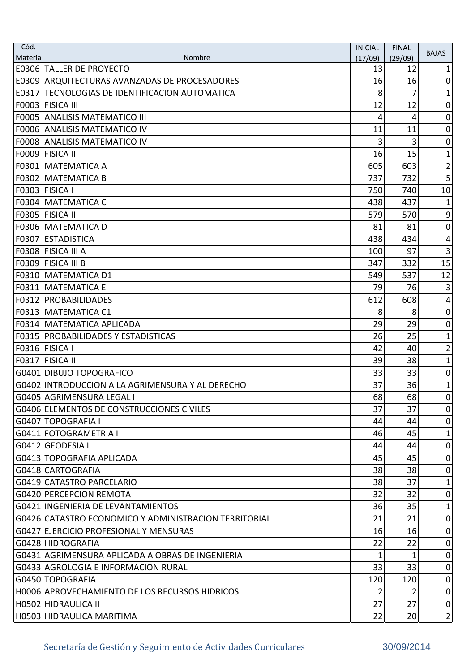| Cód.    |                                                       | <b>INICIAL</b> | <b>FINAL</b>   | <b>BAJAS</b>                 |
|---------|-------------------------------------------------------|----------------|----------------|------------------------------|
| Materia | Nombre<br><b>E0306 TALLER DE PROYECTO I</b>           | (17/09)<br>13  | (29/09)<br>12  | 1                            |
|         | <b>E0309 ARQUITECTURAS AVANZADAS DE PROCESADORES</b>  | 16             | 16             | $\mathbf 0$                  |
|         | E0317 TECNOLOGIAS DE IDENTIFICACION AUTOMATICA        | 8              | 7              | 1                            |
|         | F0003 FISICA III                                      | 12             | 12             | 0                            |
|         | <b>F0005 ANALISIS MATEMATICO III</b>                  | 4              | 4              | $\boldsymbol{0}$             |
|         | <b>F0006 ANALISIS MATEMATICO IV</b>                   | 11             | 11             | $\overline{0}$               |
|         | <b>F0008 ANALISIS MATEMATICO IV</b>                   | 3              | 3              | $\boldsymbol{0}$             |
|         | F0009 FISICA II                                       | 16             | 15             | 1                            |
|         | F0301 MATEMATICA A                                    | 605            | 603            | $\overline{2}$               |
|         | <b>F0302 MATEMATICA B</b>                             | 737            | 732            | 5                            |
|         | F0303 FISICA I                                        | 750            | 740            | 10                           |
|         | <b>F0304 MATEMATICA C</b>                             | 438            | 437            |                              |
|         | F0305 FISICA II                                       | 579            | 570            | 9                            |
|         | <b>F0306 MATEMATICA D</b>                             | 81             | 81             | $\boldsymbol{0}$             |
|         | <b>F0307 ESTADISTICA</b>                              | 438            | 434            | 4                            |
|         | F0308 FISICA III A                                    | 100            | 97             | $\mathbf{3}$                 |
|         | F0309 FISICA III B                                    | 347            | 332            | 15                           |
|         | F0310 MATEMATICA D1                                   | 549            | 537            | 12                           |
|         | <b>F0311   MATEMATICA E</b>                           | 79             | 76             | 3                            |
|         | <b>F0312 PROBABILIDADES</b>                           | 612            | 608            | $\overline{4}$               |
|         | <b>F0313 MATEMATICA C1</b>                            | 8              | 8              | $\mathbf 0$                  |
|         | <b>F0314   MATEMATICA APLICADA</b>                    | 29             | 29             | $\mathbf 0$                  |
|         | <b>F0315 PROBABILIDADES Y ESTADISTICAS</b>            | 26             | 25             | 1                            |
|         | F0316 FISICA I                                        | 42             | 40             | $\overline{2}$               |
|         | F0317 FISICA II                                       | 39             | 38             | $\mathbf{1}$                 |
|         | G0401 DIBUJO TOPOGRAFICO                              | 33             | 33             | $\mathbf 0$                  |
|         | G0402 INTRODUCCION A LA AGRIMENSURA Y AL DERECHO      | 37             | 36             | 1                            |
|         | G0405 AGRIMENSURA LEGAL I                             | 68             | 68             | 0                            |
|         | G0406 ELEMENTOS DE CONSTRUCCIONES CIVILES             | 37             | 37             | 0                            |
|         | G0407 TOPOGRAFIA I                                    | 44             | 44             | 0                            |
|         | G0411 FOTOGRAMETRIA I                                 | 46             | 45             | $\mathbf 1$                  |
|         | G0412 GEODESIA I                                      | 44             | 44             | $\overline{0}$               |
|         | G0413 TOPOGRAFIA APLICADA                             | 45             | 45             | $\mathbf 0$                  |
|         | G0418 CARTOGRAFIA                                     | 38             | 38             | $\mathbf 0$                  |
|         | G0419 CATASTRO PARCELARIO                             | 38             | 37             | 1                            |
|         | G0420 PERCEPCION REMOTA                               | 32             | 32             | $\mathbf 0$                  |
|         | G0421 INGENIERIA DE LEVANTAMIENTOS                    | 36             | 35             | $\mathbf{1}$                 |
|         | G0426 CATASTRO ECONOMICO Y ADMINISTRACION TERRITORIAL | 21             | 21             | $\mathbf 0$                  |
|         | G0427 EJERCICIO PROFESIONAL Y MENSURAS                | 16             | 16             | $\overline{0}$               |
|         | G0428 HIDROGRAFIA                                     | 22             | 22             | $\overline{0}$               |
|         | G0431 AGRIMENSURA APLICADA A OBRAS DE INGENIERIA      | 1              | 1              | 0                            |
|         | G0433 AGROLOGIA E INFORMACION RURAL                   | 33             | 33             | 0                            |
|         | G0450 TOPOGRAFIA                                      | 120            | 120            | 0                            |
|         | H0006 APROVECHAMIENTO DE LOS RECURSOS HIDRICOS        | 2              | $\overline{2}$ | $\overline{0}$               |
|         | H0502 HIDRAULICA II                                   | 27             | 27             | 0                            |
|         | H0503 HIDRAULICA MARITIMA                             | 22             | 20             | $\left  \frac{2}{2} \right $ |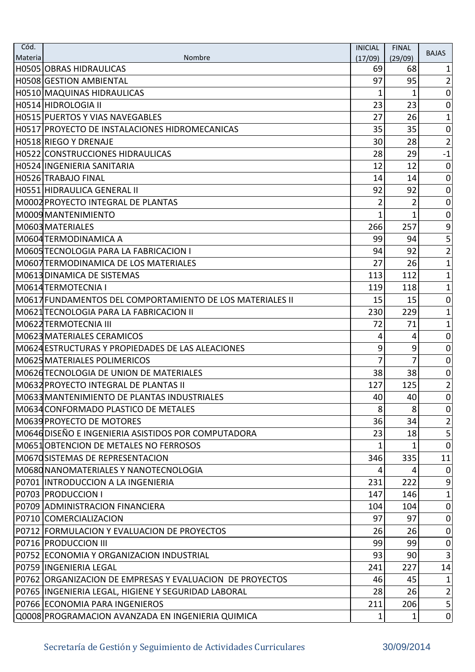| Nombre<br>Materia<br>(17/09)<br>(29/09)<br>H0505 OBRAS HIDRAULICAS<br>69<br>68<br>1<br>97<br>95<br>$\overline{2}$<br>H0508 GESTION AMBIENTAL<br>H0510 MAQUINAS HIDRAULICAS<br>$\boldsymbol{0}$<br>1<br>1<br>23<br>H0514 HIDROLOGIA II<br>23<br>$\mathbf 0$<br>26<br>27<br>H0515 PUERTOS Y VIAS NAVEGABLES<br>1<br>35<br>$\overline{0}$<br>35<br>H0517 PROYECTO DE INSTALACIONES HIDROMECANICAS<br>28<br>$\overline{2}$<br>H0518 RIEGO Y DRENAJE<br>30<br>$-1$<br>28<br>29<br>H0522 CONSTRUCCIONES HIDRAULICAS<br>12<br>H0524 INGENIERIA SANITARIA<br>12<br>$\boldsymbol{0}$<br>$\mathbf 0$<br>14<br> H0526 TRABAJO FINAL<br>14<br>92<br>92<br>$\mathbf 0$<br>H0551 HIDRAULICA GENERAL II<br>IM0002 PROYECTO INTEGRAL DE PLANTAS<br>2<br>2<br>$\mathbf 0$<br>M0009 MANTENIMIENTO<br>1<br>1<br>$\boldsymbol{0}$<br>$\mathsf 9$<br>257<br>M0603 MATERIALES<br>266<br>5<br> M0604 TERMODINAMICA A<br>94<br>99<br>$\overline{2}$<br>92<br>M0605 TECNOLOGIA PARA LA FABRICACION I<br>94<br>M0607 TERMODINAMICA DE LOS MATERIALES<br>27<br>26<br>1<br>112<br>M0613 DINAMICA DE SISTEMAS<br>1<br>113<br>$\mathbf 1$<br>118<br> M0614 TERMOTECNIA I<br>119<br>M0617FUNDAMENTOS DEL COMPORTAMIENTO DE LOS MATERIALES II<br>15<br>15<br>$\boldsymbol{0}$<br>229<br>$\mathbf{1}$<br> M0621 TECNOLOGIA PARA LA FABRICACION II<br>230<br>71<br>$\mathbf{1}$<br>M0622 TERMOTECNIA III<br>72<br>M0623 MATERIALES CERAMICOS<br>$\mathbf 0$<br>4<br>4<br>M0624 ESTRUCTURAS Y PROPIEDADES DE LAS ALEACIONES<br>9<br>9<br>$\boldsymbol{0}$<br>7<br>M0625 MATERIALES POLIMERICOS<br>7<br>0<br>M062dTECNOLOGIA DE UNION DE MATERIALES<br>38<br>38<br>$\boldsymbol{0}$<br>$\overline{\mathbf{c}}$<br>125<br> M0632 PROYECTO INTEGRAL DE PLANTAS II<br>127<br>IM0633 MANTENIMIENTO DE PLANTAS INDUSTRIALES<br>40<br>40<br>M0634 CONFORMADO PLASTICO DE METALES<br>8<br>8<br> 0 <br>34<br>M0639 PROYECTO DE MOTORES<br>36<br>$\overline{2}$<br>M064dDISEÑO E INGENIERIA ASISTIDOS POR COMPUTADORA<br>$\mathsf{S}$<br>23<br>18<br>$\overline{0}$<br>M0651 OBTENCION DE METALES NO FERROSOS<br>11<br>M0670SISTEMAS DE REPRESENTACION<br>346<br>335 |
|-------------------------------------------------------------------------------------------------------------------------------------------------------------------------------------------------------------------------------------------------------------------------------------------------------------------------------------------------------------------------------------------------------------------------------------------------------------------------------------------------------------------------------------------------------------------------------------------------------------------------------------------------------------------------------------------------------------------------------------------------------------------------------------------------------------------------------------------------------------------------------------------------------------------------------------------------------------------------------------------------------------------------------------------------------------------------------------------------------------------------------------------------------------------------------------------------------------------------------------------------------------------------------------------------------------------------------------------------------------------------------------------------------------------------------------------------------------------------------------------------------------------------------------------------------------------------------------------------------------------------------------------------------------------------------------------------------------------------------------------------------------------------------------------------------------------------------------------------------------------------------------------------------------------------------------------------------------------------------------------------------------------------------------------------------------------------------------------------------------------------|
|                                                                                                                                                                                                                                                                                                                                                                                                                                                                                                                                                                                                                                                                                                                                                                                                                                                                                                                                                                                                                                                                                                                                                                                                                                                                                                                                                                                                                                                                                                                                                                                                                                                                                                                                                                                                                                                                                                                                                                                                                                                                                                                         |
|                                                                                                                                                                                                                                                                                                                                                                                                                                                                                                                                                                                                                                                                                                                                                                                                                                                                                                                                                                                                                                                                                                                                                                                                                                                                                                                                                                                                                                                                                                                                                                                                                                                                                                                                                                                                                                                                                                                                                                                                                                                                                                                         |
|                                                                                                                                                                                                                                                                                                                                                                                                                                                                                                                                                                                                                                                                                                                                                                                                                                                                                                                                                                                                                                                                                                                                                                                                                                                                                                                                                                                                                                                                                                                                                                                                                                                                                                                                                                                                                                                                                                                                                                                                                                                                                                                         |
|                                                                                                                                                                                                                                                                                                                                                                                                                                                                                                                                                                                                                                                                                                                                                                                                                                                                                                                                                                                                                                                                                                                                                                                                                                                                                                                                                                                                                                                                                                                                                                                                                                                                                                                                                                                                                                                                                                                                                                                                                                                                                                                         |
|                                                                                                                                                                                                                                                                                                                                                                                                                                                                                                                                                                                                                                                                                                                                                                                                                                                                                                                                                                                                                                                                                                                                                                                                                                                                                                                                                                                                                                                                                                                                                                                                                                                                                                                                                                                                                                                                                                                                                                                                                                                                                                                         |
| $\overline{0}$                                                                                                                                                                                                                                                                                                                                                                                                                                                                                                                                                                                                                                                                                                                                                                                                                                                                                                                                                                                                                                                                                                                                                                                                                                                                                                                                                                                                                                                                                                                                                                                                                                                                                                                                                                                                                                                                                                                                                                                                                                                                                                          |
|                                                                                                                                                                                                                                                                                                                                                                                                                                                                                                                                                                                                                                                                                                                                                                                                                                                                                                                                                                                                                                                                                                                                                                                                                                                                                                                                                                                                                                                                                                                                                                                                                                                                                                                                                                                                                                                                                                                                                                                                                                                                                                                         |
|                                                                                                                                                                                                                                                                                                                                                                                                                                                                                                                                                                                                                                                                                                                                                                                                                                                                                                                                                                                                                                                                                                                                                                                                                                                                                                                                                                                                                                                                                                                                                                                                                                                                                                                                                                                                                                                                                                                                                                                                                                                                                                                         |
|                                                                                                                                                                                                                                                                                                                                                                                                                                                                                                                                                                                                                                                                                                                                                                                                                                                                                                                                                                                                                                                                                                                                                                                                                                                                                                                                                                                                                                                                                                                                                                                                                                                                                                                                                                                                                                                                                                                                                                                                                                                                                                                         |
|                                                                                                                                                                                                                                                                                                                                                                                                                                                                                                                                                                                                                                                                                                                                                                                                                                                                                                                                                                                                                                                                                                                                                                                                                                                                                                                                                                                                                                                                                                                                                                                                                                                                                                                                                                                                                                                                                                                                                                                                                                                                                                                         |
|                                                                                                                                                                                                                                                                                                                                                                                                                                                                                                                                                                                                                                                                                                                                                                                                                                                                                                                                                                                                                                                                                                                                                                                                                                                                                                                                                                                                                                                                                                                                                                                                                                                                                                                                                                                                                                                                                                                                                                                                                                                                                                                         |
|                                                                                                                                                                                                                                                                                                                                                                                                                                                                                                                                                                                                                                                                                                                                                                                                                                                                                                                                                                                                                                                                                                                                                                                                                                                                                                                                                                                                                                                                                                                                                                                                                                                                                                                                                                                                                                                                                                                                                                                                                                                                                                                         |
|                                                                                                                                                                                                                                                                                                                                                                                                                                                                                                                                                                                                                                                                                                                                                                                                                                                                                                                                                                                                                                                                                                                                                                                                                                                                                                                                                                                                                                                                                                                                                                                                                                                                                                                                                                                                                                                                                                                                                                                                                                                                                                                         |
|                                                                                                                                                                                                                                                                                                                                                                                                                                                                                                                                                                                                                                                                                                                                                                                                                                                                                                                                                                                                                                                                                                                                                                                                                                                                                                                                                                                                                                                                                                                                                                                                                                                                                                                                                                                                                                                                                                                                                                                                                                                                                                                         |
|                                                                                                                                                                                                                                                                                                                                                                                                                                                                                                                                                                                                                                                                                                                                                                                                                                                                                                                                                                                                                                                                                                                                                                                                                                                                                                                                                                                                                                                                                                                                                                                                                                                                                                                                                                                                                                                                                                                                                                                                                                                                                                                         |
|                                                                                                                                                                                                                                                                                                                                                                                                                                                                                                                                                                                                                                                                                                                                                                                                                                                                                                                                                                                                                                                                                                                                                                                                                                                                                                                                                                                                                                                                                                                                                                                                                                                                                                                                                                                                                                                                                                                                                                                                                                                                                                                         |
|                                                                                                                                                                                                                                                                                                                                                                                                                                                                                                                                                                                                                                                                                                                                                                                                                                                                                                                                                                                                                                                                                                                                                                                                                                                                                                                                                                                                                                                                                                                                                                                                                                                                                                                                                                                                                                                                                                                                                                                                                                                                                                                         |
|                                                                                                                                                                                                                                                                                                                                                                                                                                                                                                                                                                                                                                                                                                                                                                                                                                                                                                                                                                                                                                                                                                                                                                                                                                                                                                                                                                                                                                                                                                                                                                                                                                                                                                                                                                                                                                                                                                                                                                                                                                                                                                                         |
|                                                                                                                                                                                                                                                                                                                                                                                                                                                                                                                                                                                                                                                                                                                                                                                                                                                                                                                                                                                                                                                                                                                                                                                                                                                                                                                                                                                                                                                                                                                                                                                                                                                                                                                                                                                                                                                                                                                                                                                                                                                                                                                         |
|                                                                                                                                                                                                                                                                                                                                                                                                                                                                                                                                                                                                                                                                                                                                                                                                                                                                                                                                                                                                                                                                                                                                                                                                                                                                                                                                                                                                                                                                                                                                                                                                                                                                                                                                                                                                                                                                                                                                                                                                                                                                                                                         |
|                                                                                                                                                                                                                                                                                                                                                                                                                                                                                                                                                                                                                                                                                                                                                                                                                                                                                                                                                                                                                                                                                                                                                                                                                                                                                                                                                                                                                                                                                                                                                                                                                                                                                                                                                                                                                                                                                                                                                                                                                                                                                                                         |
|                                                                                                                                                                                                                                                                                                                                                                                                                                                                                                                                                                                                                                                                                                                                                                                                                                                                                                                                                                                                                                                                                                                                                                                                                                                                                                                                                                                                                                                                                                                                                                                                                                                                                                                                                                                                                                                                                                                                                                                                                                                                                                                         |
|                                                                                                                                                                                                                                                                                                                                                                                                                                                                                                                                                                                                                                                                                                                                                                                                                                                                                                                                                                                                                                                                                                                                                                                                                                                                                                                                                                                                                                                                                                                                                                                                                                                                                                                                                                                                                                                                                                                                                                                                                                                                                                                         |
|                                                                                                                                                                                                                                                                                                                                                                                                                                                                                                                                                                                                                                                                                                                                                                                                                                                                                                                                                                                                                                                                                                                                                                                                                                                                                                                                                                                                                                                                                                                                                                                                                                                                                                                                                                                                                                                                                                                                                                                                                                                                                                                         |
|                                                                                                                                                                                                                                                                                                                                                                                                                                                                                                                                                                                                                                                                                                                                                                                                                                                                                                                                                                                                                                                                                                                                                                                                                                                                                                                                                                                                                                                                                                                                                                                                                                                                                                                                                                                                                                                                                                                                                                                                                                                                                                                         |
|                                                                                                                                                                                                                                                                                                                                                                                                                                                                                                                                                                                                                                                                                                                                                                                                                                                                                                                                                                                                                                                                                                                                                                                                                                                                                                                                                                                                                                                                                                                                                                                                                                                                                                                                                                                                                                                                                                                                                                                                                                                                                                                         |
|                                                                                                                                                                                                                                                                                                                                                                                                                                                                                                                                                                                                                                                                                                                                                                                                                                                                                                                                                                                                                                                                                                                                                                                                                                                                                                                                                                                                                                                                                                                                                                                                                                                                                                                                                                                                                                                                                                                                                                                                                                                                                                                         |
|                                                                                                                                                                                                                                                                                                                                                                                                                                                                                                                                                                                                                                                                                                                                                                                                                                                                                                                                                                                                                                                                                                                                                                                                                                                                                                                                                                                                                                                                                                                                                                                                                                                                                                                                                                                                                                                                                                                                                                                                                                                                                                                         |
|                                                                                                                                                                                                                                                                                                                                                                                                                                                                                                                                                                                                                                                                                                                                                                                                                                                                                                                                                                                                                                                                                                                                                                                                                                                                                                                                                                                                                                                                                                                                                                                                                                                                                                                                                                                                                                                                                                                                                                                                                                                                                                                         |
|                                                                                                                                                                                                                                                                                                                                                                                                                                                                                                                                                                                                                                                                                                                                                                                                                                                                                                                                                                                                                                                                                                                                                                                                                                                                                                                                                                                                                                                                                                                                                                                                                                                                                                                                                                                                                                                                                                                                                                                                                                                                                                                         |
|                                                                                                                                                                                                                                                                                                                                                                                                                                                                                                                                                                                                                                                                                                                                                                                                                                                                                                                                                                                                                                                                                                                                                                                                                                                                                                                                                                                                                                                                                                                                                                                                                                                                                                                                                                                                                                                                                                                                                                                                                                                                                                                         |
|                                                                                                                                                                                                                                                                                                                                                                                                                                                                                                                                                                                                                                                                                                                                                                                                                                                                                                                                                                                                                                                                                                                                                                                                                                                                                                                                                                                                                                                                                                                                                                                                                                                                                                                                                                                                                                                                                                                                                                                                                                                                                                                         |
|                                                                                                                                                                                                                                                                                                                                                                                                                                                                                                                                                                                                                                                                                                                                                                                                                                                                                                                                                                                                                                                                                                                                                                                                                                                                                                                                                                                                                                                                                                                                                                                                                                                                                                                                                                                                                                                                                                                                                                                                                                                                                                                         |
| M0680NANOMATERIALES Y NANOTECNOLOGIA<br>$\mathbf 0$<br>4<br>4                                                                                                                                                                                                                                                                                                                                                                                                                                                                                                                                                                                                                                                                                                                                                                                                                                                                                                                                                                                                                                                                                                                                                                                                                                                                                                                                                                                                                                                                                                                                                                                                                                                                                                                                                                                                                                                                                                                                                                                                                                                           |
| 222<br>$\boldsymbol{9}$<br>P0701 INTRODUCCION A LA INGENIERIA<br>231                                                                                                                                                                                                                                                                                                                                                                                                                                                                                                                                                                                                                                                                                                                                                                                                                                                                                                                                                                                                                                                                                                                                                                                                                                                                                                                                                                                                                                                                                                                                                                                                                                                                                                                                                                                                                                                                                                                                                                                                                                                    |
| <b>P0703 PRODUCCION I</b><br>146<br>1<br>147                                                                                                                                                                                                                                                                                                                                                                                                                                                                                                                                                                                                                                                                                                                                                                                                                                                                                                                                                                                                                                                                                                                                                                                                                                                                                                                                                                                                                                                                                                                                                                                                                                                                                                                                                                                                                                                                                                                                                                                                                                                                            |
| P0709 ADMINISTRACION FINANCIERA<br>$\overline{0}$<br>104<br>104                                                                                                                                                                                                                                                                                                                                                                                                                                                                                                                                                                                                                                                                                                                                                                                                                                                                                                                                                                                                                                                                                                                                                                                                                                                                                                                                                                                                                                                                                                                                                                                                                                                                                                                                                                                                                                                                                                                                                                                                                                                         |
| 97<br>97<br>$\mathbf 0$<br>P0710 COMERCIALIZACION                                                                                                                                                                                                                                                                                                                                                                                                                                                                                                                                                                                                                                                                                                                                                                                                                                                                                                                                                                                                                                                                                                                                                                                                                                                                                                                                                                                                                                                                                                                                                                                                                                                                                                                                                                                                                                                                                                                                                                                                                                                                       |
| P0712 FORMULACION Y EVALUACION DE PROYECTOS<br>26<br>26<br>$\overline{0}$                                                                                                                                                                                                                                                                                                                                                                                                                                                                                                                                                                                                                                                                                                                                                                                                                                                                                                                                                                                                                                                                                                                                                                                                                                                                                                                                                                                                                                                                                                                                                                                                                                                                                                                                                                                                                                                                                                                                                                                                                                               |
| 99<br>99<br>$\boldsymbol{0}$<br>P0716 PRODUCCION III                                                                                                                                                                                                                                                                                                                                                                                                                                                                                                                                                                                                                                                                                                                                                                                                                                                                                                                                                                                                                                                                                                                                                                                                                                                                                                                                                                                                                                                                                                                                                                                                                                                                                                                                                                                                                                                                                                                                                                                                                                                                    |
| 3<br>93<br>90<br>P0752 ECONOMIA Y ORGANIZACION INDUSTRIAL                                                                                                                                                                                                                                                                                                                                                                                                                                                                                                                                                                                                                                                                                                                                                                                                                                                                                                                                                                                                                                                                                                                                                                                                                                                                                                                                                                                                                                                                                                                                                                                                                                                                                                                                                                                                                                                                                                                                                                                                                                                               |
| P0759 IINGENIERIA LEGAL<br>241<br>227<br>14                                                                                                                                                                                                                                                                                                                                                                                                                                                                                                                                                                                                                                                                                                                                                                                                                                                                                                                                                                                                                                                                                                                                                                                                                                                                                                                                                                                                                                                                                                                                                                                                                                                                                                                                                                                                                                                                                                                                                                                                                                                                             |
| P0762 ORGANIZACION DE EMPRESAS Y EVALUACION DE PROYECTOS<br>46<br>45<br>1                                                                                                                                                                                                                                                                                                                                                                                                                                                                                                                                                                                                                                                                                                                                                                                                                                                                                                                                                                                                                                                                                                                                                                                                                                                                                                                                                                                                                                                                                                                                                                                                                                                                                                                                                                                                                                                                                                                                                                                                                                               |
| 28<br>26<br>$\mathbf{2}$<br>P0765  INGENIERIA LEGAL, HIGIENE Y SEGURIDAD LABORAL                                                                                                                                                                                                                                                                                                                                                                                                                                                                                                                                                                                                                                                                                                                                                                                                                                                                                                                                                                                                                                                                                                                                                                                                                                                                                                                                                                                                                                                                                                                                                                                                                                                                                                                                                                                                                                                                                                                                                                                                                                        |
| 5 <sup>1</sup><br>206<br>P0766 ECONOMIA PARA INGENIEROS<br>211                                                                                                                                                                                                                                                                                                                                                                                                                                                                                                                                                                                                                                                                                                                                                                                                                                                                                                                                                                                                                                                                                                                                                                                                                                                                                                                                                                                                                                                                                                                                                                                                                                                                                                                                                                                                                                                                                                                                                                                                                                                          |
| Q0008 PROGRAMACION AVANZADA EN INGENIERIA QUIMICA<br> 0 <br>1<br>$\mathbf{1}$                                                                                                                                                                                                                                                                                                                                                                                                                                                                                                                                                                                                                                                                                                                                                                                                                                                                                                                                                                                                                                                                                                                                                                                                                                                                                                                                                                                                                                                                                                                                                                                                                                                                                                                                                                                                                                                                                                                                                                                                                                           |